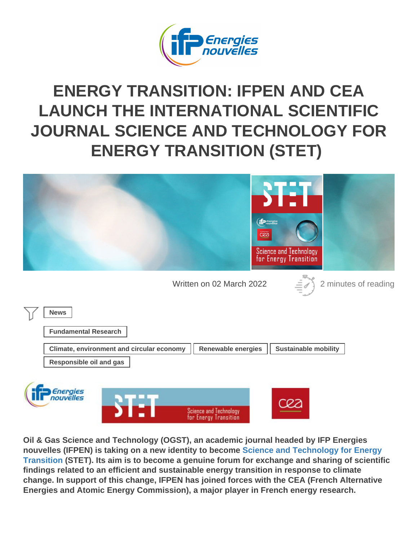## ENERGY TRANSITION: IFPEN AND CEA [LAUNCH THE INTERNATIONAL SCIENTIFIC](https://www.ifpenergiesnouvelles.com/article/energy-transition-ifpen-and-cea-launch-international-scientific-journal-science-and-technology-energy-transition-stet) [JOURNAL SCIENCE AND TECHNOLOGY FOR](https://www.ifpenergiesnouvelles.com/article/energy-transition-ifpen-and-cea-launch-international-scientific-journal-science-and-technology-energy-transition-stet) [ENERGY TRANSITION](https://www.ifpenergiesnouvelles.com/article/energy-transition-ifpen-and-cea-launch-international-scientific-journal-science-and-technology-energy-transition-stet) (STET)

Written on 02 March 2022 2 minutes of reading

News

Fundamental Research

Climate, environment and circular economy | Renewable energies | Sustainable mobility Responsible oil and gas

Oil & Gas Science and Technology (OGST), an academic journal headed by IFP Energies nouvelles (IFPEN) is taking on a new identity to become [Science and Technology for Energy](https://www.stet-review.org/) [Transition](https://www.stet-review.org/) (STET). Its aim is to become a genuine forum for exchange and sharing of scientific findings related to an efficient and sustainable energy transition in response to climate change. In support of this change, IFPEN has joined forces with the CEA (French Alternative Energies and Atomic Energy Commission), a major player in French energy research.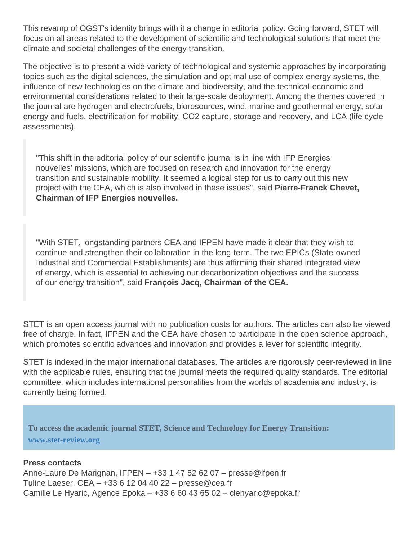This revamp of OGST's identity brings with it a change in editorial policy. Going forward, STET will focus on all areas related to the development of scientific and technological solutions that meet the climate and societal challenges of the energy transition.

The objective is to present a wide variety of technological and systemic approaches by incorporating topics such as the digital sciences, the simulation and optimal use of complex energy systems, the influence of new technologies on the climate and biodiversity, and the technical-economic and environmental considerations related to their large-scale deployment. Among the themes covered in the journal are hydrogen and electrofuels, bioresources, wind, marine and geothermal energy, solar energy and fuels, electrification for mobility, CO2 capture, storage and recovery, and LCA (life cycle assessments).

"This shift in the editorial policy of our scientific journal is in line with IFP Energies nouvelles' missions, which are focused on research and innovation for the energy transition and sustainable mobility. It seemed a logical step for us to carry out this new project with the CEA, which is also involved in these issues", said Pierre-Franck Chevet, Chairman of IFP Energies nouvelles.

"With STET, longstanding partners CEA and IFPEN have made it clear that they wish to continue and strengthen their collaboration in the long-term. The two EPICs (State-owned Industrial and Commercial Establishments) are thus affirming their shared integrated view of energy, which is essential to achieving our decarbonization objectives and the success of our energy transition", said François Jacq, Chairman of the CEA.

STET is an open access journal with no publication costs for authors. The articles can also be viewed free of charge. In fact, IFPEN and the CEA have chosen to participate in the open science approach, which promotes scientific advances and innovation and provides a lever for scientific integrity.

STET is indexed in the major international databases. The articles are rigorously peer-reviewed in line with the applicable rules, ensuring that the journal meets the required quality standards. The editorial committee, which includes international personalities from the worlds of academia and industry, is currently being formed.

## To access the academic journal STET, Science and Technology for Energy Transition:

Press contacts Anne-Laure De Marignan, IFPEN – +33 1 47 52 62 07 – presse@ifpen.fr Tuline Laeser, CEA – +33 6 12 04 40 22 – presse@cea.fr Camille Le Hyaric, Agence Epoka – +33 6 60 43 65 02 – clehyaric@epoka.fr